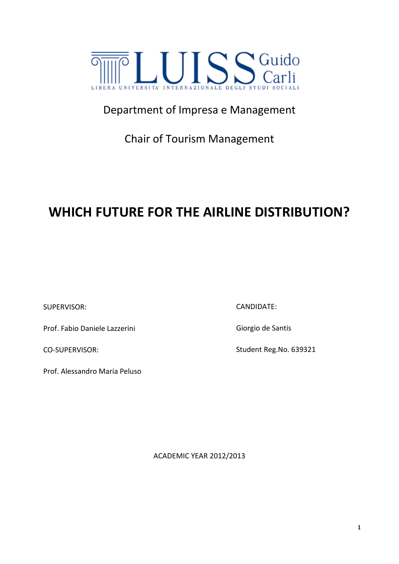

## Department of Impresa e Management

Chair of Tourism Management

# **WHICH FUTURE FOR THE AIRLINE DISTRIBUTION?**

SUPERVISOR:

Prof. Fabio Daniele Lazzerini

CO-SUPERVISOR:

Prof. Alessandro Maria Peluso

CANDIDATE:

Giorgio de Santis

Student Reg.No. 639321

ACADEMIC YEAR 2012/2013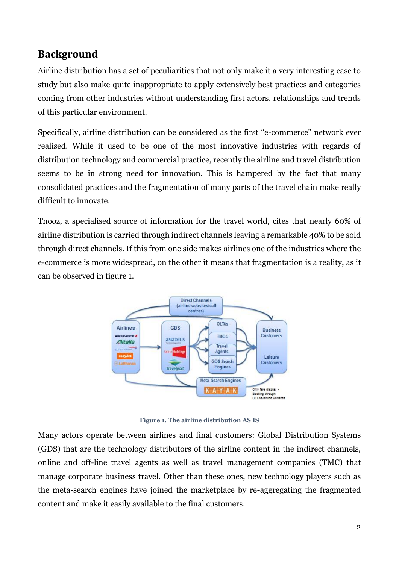#### **Background**

Airline distribution has a set of peculiarities that not only make it a very interesting case to study but also make quite inappropriate to apply extensively best practices and categories coming from other industries without understanding first actors, relationships and trends of this particular environment.

Specifically, airline distribution can be considered as the first "e-commerce" network ever realised. While it used to be one of the most innovative industries with regards of distribution technology and commercial practice, recently the airline and travel distribution seems to be in strong need for innovation. This is hampered by the fact that many consolidated practices and the fragmentation of many parts of the travel chain make really difficult to innovate.

Tnooz, a specialised source of information for the travel world, cites that nearly 60% of airline distribution is carried through indirect channels leaving a remarkable 40% to be sold through direct channels. If this from one side makes airlines one of the industries where the e-commerce is more widespread, on the other it means that fragmentation is a reality, as it can be observed in figure 1.



**Figure 1. The airline distribution AS IS**

Many actors operate between airlines and final customers: Global Distribution Systems (GDS) that are the technology distributors of the airline content in the indirect channels, online and off-line travel agents as well as travel management companies (TMC) that manage corporate business travel. Other than these ones, new technology players such as the meta-search engines have joined the marketplace by re-aggregating the fragmented content and make it easily available to the final customers.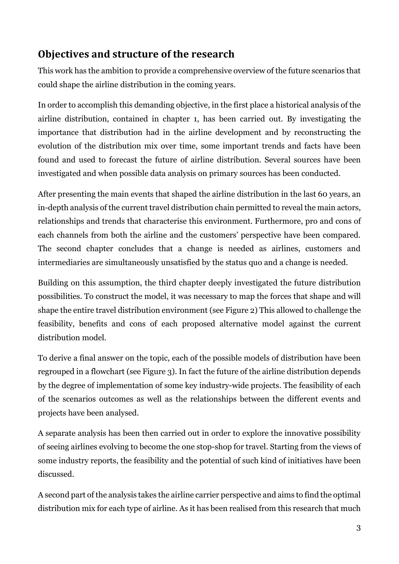### **Objectives and structure of the research**

This work has the ambition to provide a comprehensive overview of the future scenarios that could shape the airline distribution in the coming years.

In order to accomplish this demanding objective, in the first place a historical analysis of the airline distribution, contained in chapter 1, has been carried out. By investigating the importance that distribution had in the airline development and by reconstructing the evolution of the distribution mix over time, some important trends and facts have been found and used to forecast the future of airline distribution. Several sources have been investigated and when possible data analysis on primary sources has been conducted.

After presenting the main events that shaped the airline distribution in the last 60 years, an in-depth analysis of the current travel distribution chain permitted to reveal the main actors, relationships and trends that characterise this environment. Furthermore, pro and cons of each channels from both the airline and the customers' perspective have been compared. The second chapter concludes that a change is needed as airlines, customers and intermediaries are simultaneously unsatisfied by the status quo and a change is needed.

Building on this assumption, the third chapter deeply investigated the future distribution possibilities. To construct the model, it was necessary to map the forces that shape and will shape the entire travel distribution environment (see [Figure 2\)](#page-6-0) This allowed to challenge the feasibility, benefits and cons of each proposed alternative model against the current distribution model.

To derive a final answer on the topic, each of the possible models of distribution have been regrouped in a flowchart (see [Figure 3\)](#page-8-0). In fact the future of the airline distribution depends by the degree of implementation of some key industry-wide projects. The feasibility of each of the scenarios outcomes as well as the relationships between the different events and projects have been analysed.

A separate analysis has been then carried out in order to explore the innovative possibility of seeing airlines evolving to become the one stop-shop for travel. Starting from the views of some industry reports, the feasibility and the potential of such kind of initiatives have been discussed.

A second part of the analysis takes the airline carrier perspective and aims to find the optimal distribution mix for each type of airline. As it has been realised from this research that much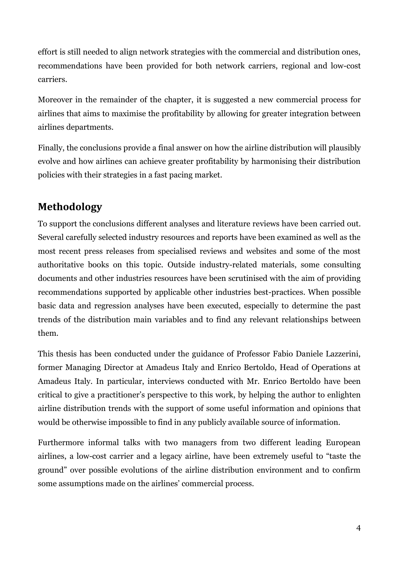effort is still needed to align network strategies with the commercial and distribution ones, recommendations have been provided for both network carriers, regional and low-cost carriers.

Moreover in the remainder of the chapter, it is suggested a new commercial process for airlines that aims to maximise the profitability by allowing for greater integration between airlines departments.

Finally, the conclusions provide a final answer on how the airline distribution will plausibly evolve and how airlines can achieve greater profitability by harmonising their distribution policies with their strategies in a fast pacing market.

## **Methodology**

To support the conclusions different analyses and literature reviews have been carried out. Several carefully selected industry resources and reports have been examined as well as the most recent press releases from specialised reviews and websites and some of the most authoritative books on this topic. Outside industry-related materials, some consulting documents and other industries resources have been scrutinised with the aim of providing recommendations supported by applicable other industries best-practices. When possible basic data and regression analyses have been executed, especially to determine the past trends of the distribution main variables and to find any relevant relationships between them.

This thesis has been conducted under the guidance of Professor Fabio Daniele Lazzerini, former Managing Director at Amadeus Italy and Enrico Bertoldo, Head of Operations at Amadeus Italy. In particular, interviews conducted with Mr. Enrico Bertoldo have been critical to give a practitioner's perspective to this work, by helping the author to enlighten airline distribution trends with the support of some useful information and opinions that would be otherwise impossible to find in any publicly available source of information.

Furthermore informal talks with two managers from two different leading European airlines, a low-cost carrier and a legacy airline, have been extremely useful to "taste the ground" over possible evolutions of the airline distribution environment and to confirm some assumptions made on the airlines' commercial process.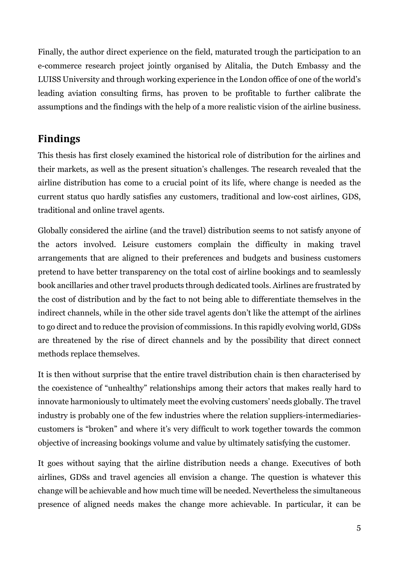Finally, the author direct experience on the field, maturated trough the participation to an e-commerce research project jointly organised by Alitalia, the Dutch Embassy and the LUISS University and through working experience in the London office of one of the world's leading aviation consulting firms, has proven to be profitable to further calibrate the assumptions and the findings with the help of a more realistic vision of the airline business.

#### **Findings**

This thesis has first closely examined the historical role of distribution for the airlines and their markets, as well as the present situation's challenges. The research revealed that the airline distribution has come to a crucial point of its life, where change is needed as the current status quo hardly satisfies any customers, traditional and low-cost airlines, GDS, traditional and online travel agents.

Globally considered the airline (and the travel) distribution seems to not satisfy anyone of the actors involved. Leisure customers complain the difficulty in making travel arrangements that are aligned to their preferences and budgets and business customers pretend to have better transparency on the total cost of airline bookings and to seamlessly book ancillaries and other travel products through dedicated tools. Airlines are frustrated by the cost of distribution and by the fact to not being able to differentiate themselves in the indirect channels, while in the other side travel agents don't like the attempt of the airlines to go direct and to reduce the provision of commissions. In this rapidly evolving world, GDSs are threatened by the rise of direct channels and by the possibility that direct connect methods replace themselves.

It is then without surprise that the entire travel distribution chain is then characterised by the coexistence of "unhealthy" relationships among their actors that makes really hard to innovate harmoniously to ultimately meet the evolving customers' needs globally. The travel industry is probably one of the few industries where the relation suppliers-intermediariescustomers is "broken" and where it's very difficult to work together towards the common objective of increasing bookings volume and value by ultimately satisfying the customer.

It goes without saying that the airline distribution needs a change. Executives of both airlines, GDSs and travel agencies all envision a change. The question is whatever this change will be achievable and how much time will be needed. Nevertheless the simultaneous presence of aligned needs makes the change more achievable. In particular, it can be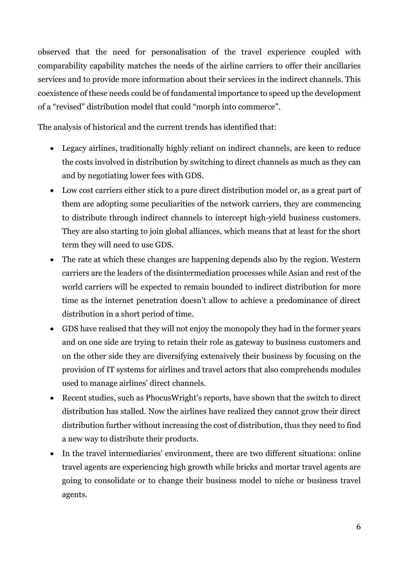observed that the need for personalisation of the travel experience coupled with comparability capability matches the needs of the airline carriers to offer their ancillaries services and to provide more information about their services in the indirect channels. This coexistence of these needs could be of fundamental importance to speed up the development of a "revised" distribution model that could "morph into commerce".

The analysis of historical and the current trends has identified that:

- Legacy airlines, traditionally highly reliant on indirect channels, are keen to reduce the costs involved in distribution by switching to direct channels as much as they can and by negotiating lower fees with GDS.
- Low cost carriers either stick to a pure direct distribution model or, as a great part of them are adopting some peculiarities of the network carriers, they are commencing to distribute through indirect channels to intercept high-yield business customers. They are also starting to join global alliances, which means that at least for the short term they will need to use GDS.
- The rate at which these changes are happening depends also by the region. Western carriers are the leaders of the disintermediation processes while Asian and rest of the world carriers will be expected to remain bounded to indirect distribution for more time as the internet penetration doesn't allow to achieve a predominance of direct distribution in a short period of time.
- GDS have realised that they will not enjoy the monopoly they had in the former years and on one side are trying to retain their role as gateway to business customers and on the other side they are diversifying extensively their business by focusing on the provision of IT systems for airlines and travel actors that also comprehends modules used to manage airlines' direct channels.
- Recent studies, such as PhocusWright's reports, have shown that the switch to direct distribution has stalled. Now the airlines have realized they cannot grow their direct distribution further without increasing the cost of distribution, thus they need to find a new way to distribute their products.
- In the travel intermediaries' environment, there are two different situations: online travel agents are experiencing high growth while bricks and mortar travel agents are going to consolidate or to change their business model to niche or business travel agents.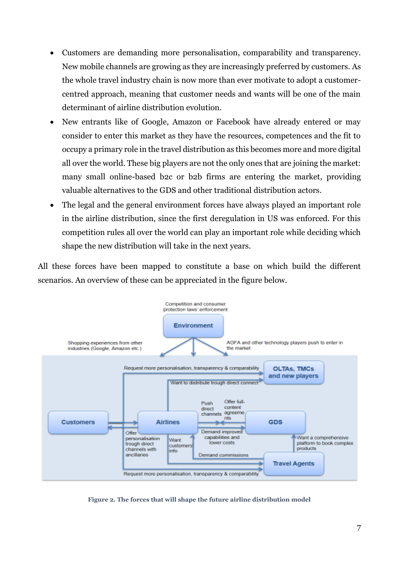- Customers are demanding more personalisation, comparability and transparency. New mobile channels are growing as they are increasingly preferred by customers. As the whole travel industry chain is now more than ever motivate to adopt a customercentred approach, meaning that customer needs and wants will be one of the main determinant of airline distribution evolution.
- New entrants like of Google, Amazon or Facebook have already entered or may consider to enter this market as they have the resources, competences and the fit to occupy a primary role in the travel distribution as this becomes more and more digital all over the world. These big players are not the only ones that are joining the market: many small online-based b2c or b2b firms are entering the market, providing valuable alternatives to the GDS and other traditional distribution actors.
- The legal and the general environment forces have always played an important role in the airline distribution, since the first deregulation in US was enforced. For this competition rules all over the world can play an important role while deciding which shape the new distribution will take in the next years.

All these forces have been mapped to constitute a base on which build the different scenarios. An overview of these can be appreciated in the figure below.



<span id="page-6-0"></span>**Figure 2. The forces that will shape the future airline distribution model**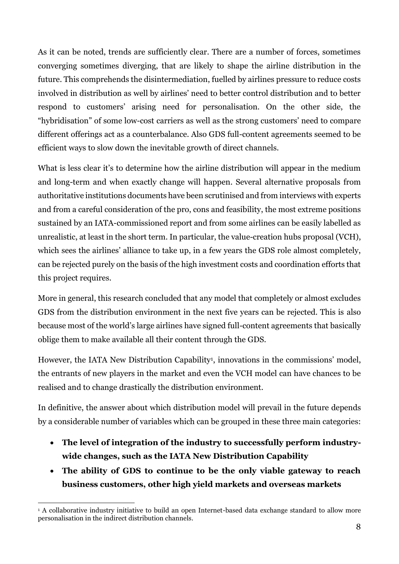As it can be noted, trends are sufficiently clear. There are a number of forces, sometimes converging sometimes diverging, that are likely to shape the airline distribution in the future. This comprehends the disintermediation, fuelled by airlines pressure to reduce costs involved in distribution as well by airlines' need to better control distribution and to better respond to customers' arising need for personalisation. On the other side, the "hybridisation" of some low-cost carriers as well as the strong customers' need to compare different offerings act as a counterbalance. Also GDS full-content agreements seemed to be efficient ways to slow down the inevitable growth of direct channels.

What is less clear it's to determine how the airline distribution will appear in the medium and long-term and when exactly change will happen. Several alternative proposals from authoritative institutions documents have been scrutinised and from interviews with experts and from a careful consideration of the pro, cons and feasibility, the most extreme positions sustained by an IATA-commissioned report and from some airlines can be easily labelled as unrealistic, at least in the short term. In particular, the value-creation hubs proposal (VCH), which sees the airlines' alliance to take up, in a few years the GDS role almost completely, can be rejected purely on the basis of the high investment costs and coordination efforts that this project requires.

More in general, this research concluded that any model that completely or almost excludes GDS from the distribution environment in the next five years can be rejected. This is also because most of the world's large airlines have signed full-content agreements that basically oblige them to make available all their content through the GDS.

However, the IATA New Distribution Capability<sup>1</sup>, innovations in the commissions' model, the entrants of new players in the market and even the VCH model can have chances to be realised and to change drastically the distribution environment.

In definitive, the answer about which distribution model will prevail in the future depends by a considerable number of variables which can be grouped in these three main categories:

- **The level of integration of the industry to successfully perform industrywide changes, such as the IATA New Distribution Capability**
- **The ability of GDS to continue to be the only viable gateway to reach business customers, other high yield markets and overseas markets**

<sup>&</sup>lt;u>.</u> <sup>1</sup> A collaborative industry initiative to build an open Internet-based data exchange standard to allow more personalisation in the indirect distribution channels.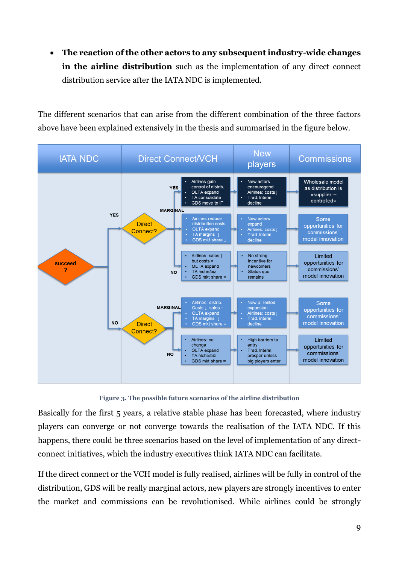**The reaction of the other actors to any subsequent industry-wide changes in the airline distribution** such as the implementation of any direct connect distribution service after the IATA NDC is implemented.

The different scenarios that can arise from the different combination of the three factors above have been explained extensively in the thesis and summarised in the figure below.



**Figure 3. The possible future scenarios of the airline distribution**

<span id="page-8-0"></span>Basically for the first 5 years, a relative stable phase has been forecasted, where industry players can converge or not converge towards the realisation of the IATA NDC. If this happens, there could be three scenarios based on the level of implementation of any directconnect initiatives, which the industry executives think IATA NDC can facilitate.

If the direct connect or the VCH model is fully realised, airlines will be fully in control of the distribution, GDS will be really marginal actors, new players are strongly incentives to enter the market and commissions can be revolutionised. While airlines could be strongly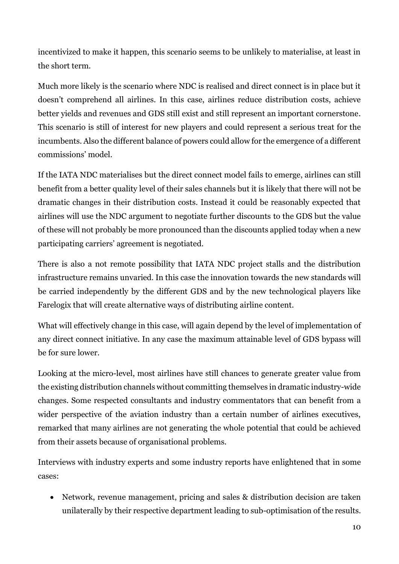incentivized to make it happen, this scenario seems to be unlikely to materialise, at least in the short term.

Much more likely is the scenario where NDC is realised and direct connect is in place but it doesn't comprehend all airlines. In this case, airlines reduce distribution costs, achieve better yields and revenues and GDS still exist and still represent an important cornerstone. This scenario is still of interest for new players and could represent a serious treat for the incumbents. Also the different balance of powers could allow for the emergence of a different commissions' model.

If the IATA NDC materialises but the direct connect model fails to emerge, airlines can still benefit from a better quality level of their sales channels but it is likely that there will not be dramatic changes in their distribution costs. Instead it could be reasonably expected that airlines will use the NDC argument to negotiate further discounts to the GDS but the value of these will not probably be more pronounced than the discounts applied today when a new participating carriers' agreement is negotiated.

There is also a not remote possibility that IATA NDC project stalls and the distribution infrastructure remains unvaried. In this case the innovation towards the new standards will be carried independently by the different GDS and by the new technological players like Farelogix that will create alternative ways of distributing airline content.

What will effectively change in this case, will again depend by the level of implementation of any direct connect initiative. In any case the maximum attainable level of GDS bypass will be for sure lower.

Looking at the micro-level, most airlines have still chances to generate greater value from the existing distribution channels without committing themselves in dramatic industry-wide changes. Some respected consultants and industry commentators that can benefit from a wider perspective of the aviation industry than a certain number of airlines executives, remarked that many airlines are not generating the whole potential that could be achieved from their assets because of organisational problems.

Interviews with industry experts and some industry reports have enlightened that in some cases:

• Network, revenue management, pricing and sales & distribution decision are taken unilaterally by their respective department leading to sub-optimisation of the results.